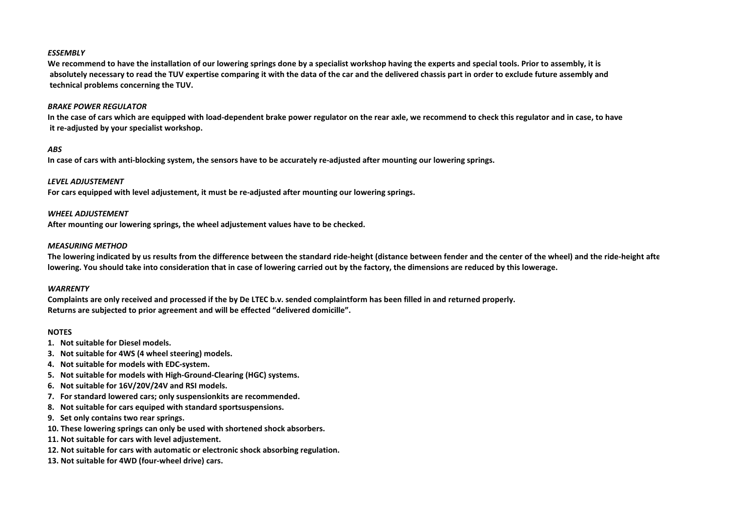## *ESSEMBLY*

 **We recommend to have the installation of our lowering springs done by a specialist workshop having the experts and special tools. Prior to assembly, it is absolutely necessary to read the TUV expertise comparing it with the data of the car and the delivered chassis part in order to exclude future assembly and technical problems concerning the TUV.**

### *BRAKE POWER REGULATOR*

 **In the case of cars which are equipped with load-dependent brake power regulator on the rear axle, we recommend to check this regulator and in case, to have it re-adjusted by your specialist workshop.**

# *ABS*

 **In case of cars with anti-blocking system, the sensors have to be accurately re-adjusted after mounting our lowering springs.**

# *LEVEL ADJUSTEMENT*

 **For cars equipped with level adjustement, it must be re-adjusted after mounting our lowering springs.**

## *WHEEL ADJUSTEMENT*

 **After mounting our lowering springs, the wheel adjustement values have to be checked.**

## *MEASURING METHOD*

 **The lowering indicated by us results from the difference between the standard ride-height (distance between fender and the center of the wheel) and the ride-height after lowering. You should take into consideration that in case of lowering carried out by the factory, the dimensions are reduced by this lowerage.**

### *WARRENTY*

 **Complaints are only received and processed if the by De LTEC b.v. sended complaintform has been filled in and returned properly. Returns are subjected to prior agreement and will be effected "delivered domicille".**

# **NOTES**

- **1. Not suitable for Diesel models.**
- **3. Not suitable for 4WS (4 wheel steering) models.**
- **4. Not suitable for models with EDC-system.**
- **5. Not suitable for models with High-Ground-Clearing (HGC) systems.**
- **6. Not suitable for 16V/20V/24V and RSI models.**
- **7. For standard lowered cars; only suspensionkits are recommended.**
- **8. Not suitable for cars equiped with standard sportsuspensions.**
- **9. Set only contains two rear springs.**
- **10. These lowering springs can only be used with shortened shock absorbers.**
- **11. Not suitable for cars with level adjustement.**
- **12. Not suitable for cars with automatic or electronic shock absorbing regulation.**
- **13. Not suitable for 4WD (four-wheel drive) cars.**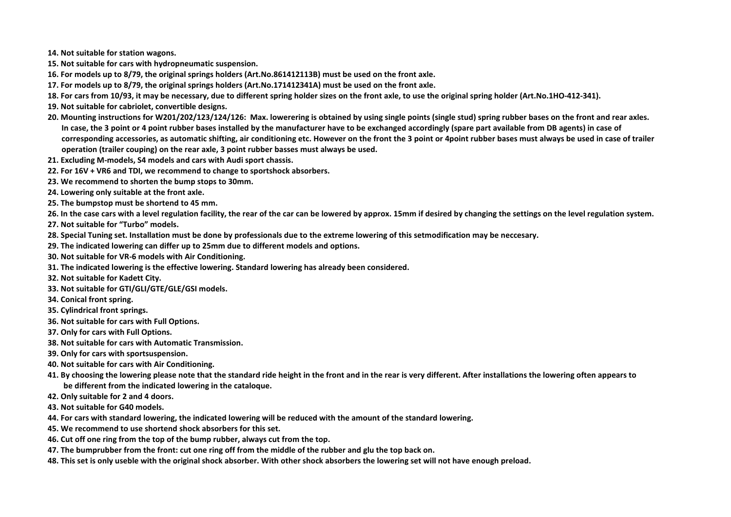**14. Not suitable for station wagons.**

- **15. Not suitable for cars with hydropneumatic suspension.**
- **16. For models up to 8/79, the original springs holders (Art.No.861412113B) must be used on the front axle.**
- **17. For models up to 8/79, the original springs holders (Art.No.171412341A) must be used on the front axle.**
- **18. For cars from 10/93, it may be necessary, due to different spring holder sizes on the front axle, to use the original spring holder (Art.No.1HO-412-341).**
- **19. Not suitable for cabriolet, convertible designs.**
- **20. Mounting instructions for W201/202/123/124/126: Max. lowerering is obtained by using single points (single stud) spring rubber bases on the front and rear axles. In case, the 3 point or 4 point rubber bases installed by the manufacturer have to be exchanged accordingly (spare part available from DB agents) in case of corresponding accessories, as automatic shifting, air conditioning etc. However on the front the 3 point or 4point rubber bases must always be used in case of trailer operation (trailer couping) on the rear axle, 3 point rubber basses must always be used.**
- **21. Excluding M-models, S4 models and cars with Audi sport chassis.**
- **22. For 16V + VR6 and TDI, we recommend to change to sportshock absorbers.**
- **23. We recommend to shorten the bump stops to 30mm.**
- **24. Lowering only suitable at the front axle.**
- **25. The bumpstop must be shortend to 45 mm.**
- **26. In the case cars with a level regulation facility, the rear of the car can be lowered by approx. 15mm if desired by changing the settings on the level regulation system.**
- **27. Not suitable for "Turbo" models.**
- **28. Special Tuning set. Installation must be done by professionals due to the extreme lowering of this setmodification may be neccesary.**
- **29. The indicated lowering can differ up to 25mm due to different models and options.**
- **30. Not suitable for VR-6 models with Air Conditioning.**
- **31. The indicated lowering is the effective lowering. Standard lowering has already been considered.**
- **32. Not suitable for Kadett City.**
- **33. Not suitable for GTI/GLI/GTE/GLE/GSI models.**
- **34. Conical front spring.**
- **35. Cylindrical front springs.**
- **36. Not suitable for cars with Full Options.**
- **37. Only for cars with Full Options.**
- **38. Not suitable for cars with Automatic Transmission.**
- **39. Only for cars with sportsuspension.**
- **40. Not suitable for cars with Air Conditioning.**
- **41. By choosing the lowering please note that the standard ride height in the front and in the rear is very different. After installations the lowering often appears to be different from the indicated lowering in the cataloque.**
- **42. Only suitable for 2 and 4 doors.**
- **43. Not suitable for G40 models.**
- **44. For cars with standard lowering, the indicated lowering will be reduced with the amount of the standard lowering.**
- **45. We recommend to use shortend shock absorbers for this set.**
- **46. Cut off one ring from the top of the bump rubber, always cut from the top.**
- **47. The bumprubber from the front: cut one ring off from the middle of the rubber and glu the top back on.**
- **48. This set is only useble with the original shock absorber. With other shock absorbers the lowering set will not have enough preload.**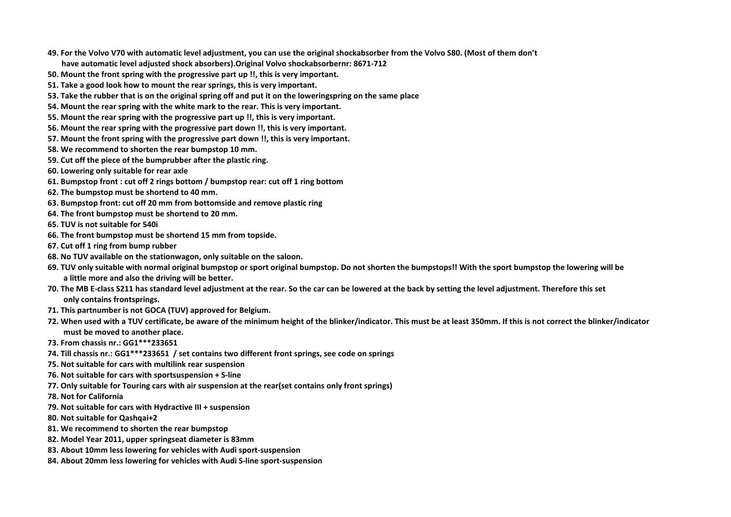- **49. For the Volvo V70 with automatic level adjustment, you can use the original shockabsorber from the Volvo S80. (Most of them don't have automatic level adjusted shock absorbers).Original Volvo shockabsorbernr: 8671-712**
- **50. Mount the front spring with the progressive part up !!, this is very important.**
- **51. Take a good look how to mount the rear springs, this is very important.**
- **53. Take the rubber that is on the original spring off and put it on the loweringspring on the same place**
- **54. Mount the rear spring with the white mark to the rear. This is very important.**
- **55. Mount the rear spring with the progressive part up !!, this is very important.**
- **56. Mount the rear spring with the progressive part down !!, this is very important.**
- **57. Mount the front spring with the progressive part down !!, this is very important.**
- **58. We recommend to shorten the rear bumpstop 10 mm.**
- **59. Cut off the piece of the bumprubber after the plastic ring.**
- **60. Lowering only suitable for rear axle**
- **61. Bumpstop front : cut off 2 rings bottom / bumpstop rear: cut off 1 ring bottom**
- **62. The bumpstop must be shortend to 40 mm.**
- **63. Bumpstop front: cut off 20 mm from bottomside and remove plastic ring**
- **64. The front bumpstop must be shortend to 20 mm.**
- **65. TUV is not suitable for 540i**
- **66. The front bumpstop must be shortend 15 mm from topside.**
- **67. Cut off 1 ring from bump rubber**
- **68. No TUV available on the stationwagon, only suitable on the saloon.**
- **69. TUV only suitable with normal original bumpstop or sport original bumpstop. Do not shorten the bumpstops!! With the sport bumpstop the lowering will be a little more and also the driving will be better.**
- **70. The MB E-class S211 has standard level adjustment at the rear. So the car can be lowered at the back by setting the level adjustment. Therefore this set only contains frontsprings.**
- **71. This partnumber is not GOCA (TUV) approved for Belgium.**
- **72. When used with a TUV certificate, be aware of the minimum height of the blinker/indicator. This must be at least 350mm. If this is not correct the blinker/indicator must be moved to another place.**
- **73. From chassis nr.: GG1\*\*\*233651**
- **74. Till chassis nr.: GG1\*\*\*233651 / set contains two different front springs, see code on springs**
- **75. Not suitable for cars with multilink rear suspension**
- **76. Not suitable for cars with sportsuspension + S-line**
- **77. Only suitable for Touring cars with air suspension at the rear(set contains only front springs)**
- **78. Not for California**
- **79. Not suitable for cars with Hydractive III + suspension**
- **80. Not suitable for Qashqai+2**
- **81. We recommend to shorten the rear bumpstop**
- **82. Model Year 2011, upper springseat diameter is 83mm**
- **83. About 10mm less lowering for vehicles with Audi sport-suspension**
- **84. About 20mm less lowering for vehicles with Audi S-line sport-suspension**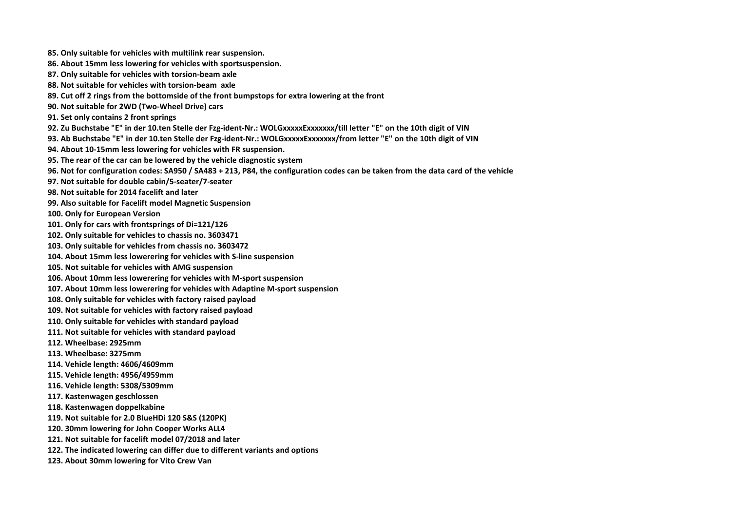- **85. Only suitable for vehicles with multilink rear suspension.**
- **86. About 15mm less lowering for vehicles with sportsuspension.**
- **87. Only suitable for vehicles with torsion-beam axle**
- **88. Not suitable for vehicles with torsion-beam axle**
- **89. Cut off 2 rings from the bottomside of the front bumpstops for extra lowering at the front**
- **90. Not suitable for 2WD (Two-Wheel Drive) cars**
- **91. Set only contains 2 front springs**
- 92. Zu Buchstabe "E" in der 10.ten Stelle der Fzg-ident-Nr.: WOLGxxxxxExxxxxxx/till letter "E" on the 10th digit of VIN
- 93. Ab Buchstabe "E" in der 10.ten Stelle der Fzg-ident-Nr.: WOLGxxxxxExxxxxx/from letter "E" on the 10th digit of VIN
- **94. About 10-15mm less lowering for vehicles with FR suspension.**
- **95. The rear of the car can be lowered by the vehicle diagnostic system**
- **96. Not for configuration codes: SA950 / SA483 + 213, P84, the configuration codes can be taken from the data card of the vehicle**
- **97. Not suitable for double cabin/5-seater/7-seater**
- **98. Not suitable for 2014 facelift and later**
- **99. Also suitable for Facelift model Magnetic Suspension**
- **100. Only for European Version**
- **101. Only for cars with frontsprings of Di=121/126**
- **102. Only suitable for vehicles to chassis no. 3603471**
- **103. Only suitable for vehicles from chassis no. 3603472**
- **104. About 15mm less lowerering for vehicles with S-line suspension**
- **105. Not suitable for vehicles with AMG suspension**
- **106. About 10mm less lowerering for vehicles with M-sport suspension**
- **107. About 10mm less lowerering for vehicles with Adaptine M-sport suspension**
- **108. Only suitable for vehicles with factory raised payload**
- **109. Not suitable for vehicles with factory raised payload**
- **110. Only suitable for vehicles with standard payload**
- **111. Not suitable for vehicles with standard payload**
- **112. Wheelbase: 2925mm**
- **113. Wheelbase: 3275mm**
- **114. Vehicle length: 4606/4609mm**
- **115. Vehicle length: 4956/4959mm**
- **116. Vehicle length: 5308/5309mm**
- **117. Kastenwagen geschlossen**
- **118. Kastenwagen doppelkabine**
- **119. Not suitable for 2.0 BlueHDi 120 S&S (120PK)**
- **120. 30mm lowering for John Cooper Works ALL4**
- **121. Not suitable for facelift model 07/2018 and later**
- **122. The indicated lowering can differ due to different variants and options**
- **123. About 30mm lowering for Vito Crew Van**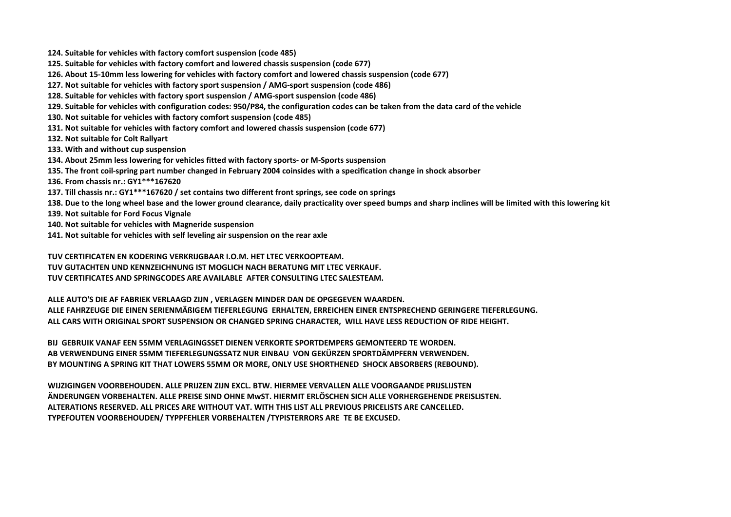**124. Suitable for vehicles with factory comfort suspension (code 485)**

- **125. Suitable for vehicles with factory comfort and lowered chassis suspension (code 677)**
- **126. About 15-10mm less lowering for vehicles with factory comfort and lowered chassis suspension (code 677)**
- **127. Not suitable for vehicles with factory sport suspension / AMG-sport suspension (code 486)**
- **128. Suitable for vehicles with factory sport suspension / AMG-sport suspension (code 486)**
- **129. Suitable for vehicles with configuration codes: 950/P84, the configuration codes can be taken from the data card of the vehicle**
- **130. Not suitable for vehicles with factory comfort suspension (code 485)**
- **131. Not suitable for vehicles with factory comfort and lowered chassis suspension (code 677)**
- **132. Not suitable for Colt Rallyart**
- **133. With and without cup suspension**
- **134. About 25mm less lowering for vehicles fitted with factory sports- or M-Sports suspension**
- **135. The front coil-spring part number changed in February 2004 coinsides with a specification change in shock absorber**
- **136. From chassis nr.: GY1\*\*\*167620**
- **137. Till chassis nr.: GY1\*\*\*167620 / set contains two different front springs, see code on springs**
- **138. Due to the long wheel base and the lower ground clearance, daily practicality over speed bumps and sharp inclines will be limited with this lowering kit**
- **139. Not suitable for Ford Focus Vignale**
- **140. Not suitable for vehicles with Magneride suspension**
- **141. Not suitable for vehicles with self leveling air suspension on the rear axle**

 **TUV CERTIFICATEN EN KODERING VERKRIJGBAAR I.O.M. HET LTEC VERKOOPTEAM. TUV GUTACHTEN UND KENNZEICHNUNG IST MOGLICH NACH BERATUNG MIT LTEC VERKAUF. TUV CERTIFICATES AND SPRINGCODES ARE AVAILABLE AFTER CONSULTING LTEC SALESTEAM.**

 **ALLE AUTO'S DIE AF FABRIEK VERLAAGD ZIJN , VERLAGEN MINDER DAN DE OPGEGEVEN WAARDEN. ALLE FAHRZEUGE DIE EINEN SERIENMÄßIGEM TIEFERLEGUNG ERHALTEN, ERREICHEN EINER ENTSPRECHEND GERINGERE TIEFERLEGUNG. ALL CARS WITH ORIGINAL SPORT SUSPENSION OR CHANGED SPRING CHARACTER, WILL HAVE LESS REDUCTION OF RIDE HEIGHT.**

 **BIJ GEBRUIK VANAF EEN 55MM VERLAGINGSSET DIENEN VERKORTE SPORTDEMPERS GEMONTEERD TE WORDEN. AB VERWENDUNG EINER 55MM TIEFERLEGUNGSSATZ NUR EINBAU VON GEKÜRZEN SPORTDÄMPFERN VERWENDEN. BY MOUNTING A SPRING KIT THAT LOWERS 55MM OR MORE, ONLY USE SHORTHENED SHOCK ABSORBERS (REBOUND).**

 **WIJZIGINGEN VOORBEHOUDEN. ALLE PRIJZEN ZIJN EXCL. BTW. HIERMEE VERVALLEN ALLE VOORGAANDE PRIJSLIJSTEN ÄNDERUNGEN VORBEHALTEN. ALLE PREISE SIND OHNE MwST. HIERMIT ERLÖSCHEN SICH ALLE VORHERGEHENDE PREISLISTEN. ALTERATIONS RESERVED. ALL PRICES ARE WITHOUT VAT. WITH THIS LIST ALL PREVIOUS PRICELISTS ARE CANCELLED. TYPEFOUTEN VOORBEHOUDEN/ TYPPFEHLER VORBEHALTEN /TYPISTERRORS ARE TE BE EXCUSED.**